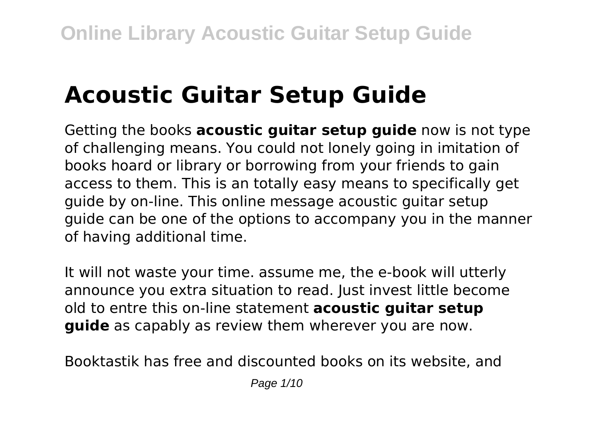# **Acoustic Guitar Setup Guide**

Getting the books **acoustic guitar setup guide** now is not type of challenging means. You could not lonely going in imitation of books hoard or library or borrowing from your friends to gain access to them. This is an totally easy means to specifically get guide by on-line. This online message acoustic guitar setup guide can be one of the options to accompany you in the manner of having additional time.

It will not waste your time. assume me, the e-book will utterly announce you extra situation to read. Just invest little become old to entre this on-line statement **acoustic guitar setup guide** as capably as review them wherever you are now.

Booktastik has free and discounted books on its website, and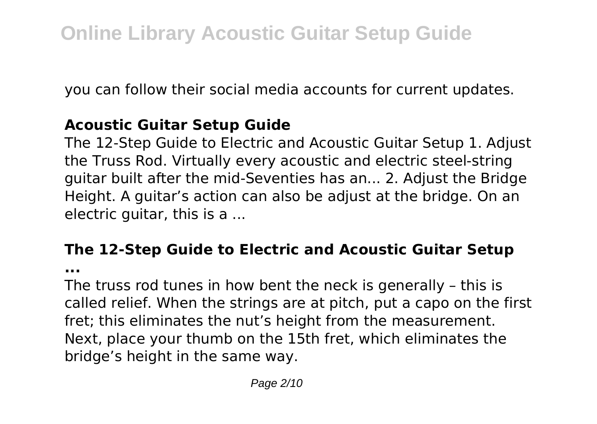you can follow their social media accounts for current updates.

#### **Acoustic Guitar Setup Guide**

The 12-Step Guide to Electric and Acoustic Guitar Setup 1. Adjust the Truss Rod. Virtually every acoustic and electric steel-string guitar built after the mid-Seventies has an... 2. Adjust the Bridge Height. A guitar's action can also be adjust at the bridge. On an electric guitar, this is a ...

# **The 12-Step Guide to Electric and Acoustic Guitar Setup**

**...**

The truss rod tunes in how bent the neck is generally – this is called relief. When the strings are at pitch, put a capo on the first fret; this eliminates the nut's height from the measurement. Next, place your thumb on the 15th fret, which eliminates the bridge's height in the same way.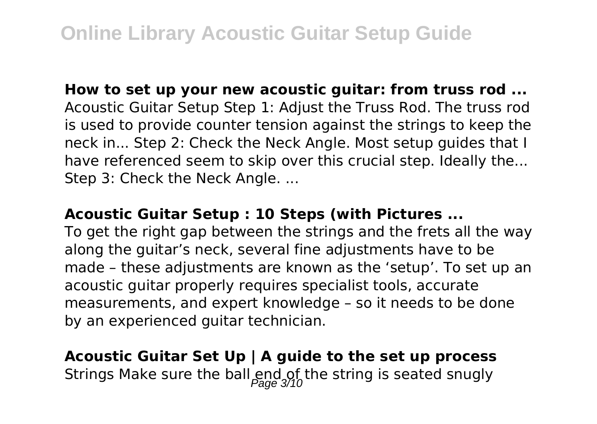**How to set up your new acoustic guitar: from truss rod ...** Acoustic Guitar Setup Step 1: Adjust the Truss Rod. The truss rod is used to provide counter tension against the strings to keep the neck in... Step 2: Check the Neck Angle. Most setup guides that I have referenced seem to skip over this crucial step. Ideally the... Step 3: Check the Neck Angle. ...

#### **Acoustic Guitar Setup : 10 Steps (with Pictures ...**

To get the right gap between the strings and the frets all the way along the guitar's neck, several fine adjustments have to be made – these adjustments are known as the 'setup'. To set up an acoustic guitar properly requires specialist tools, accurate measurements, and expert knowledge – so it needs to be done by an experienced guitar technician.

### **Acoustic Guitar Set Up | A guide to the set up process** Strings Make sure the ball  $\text{grad}_{2}$ of the string is seated snugly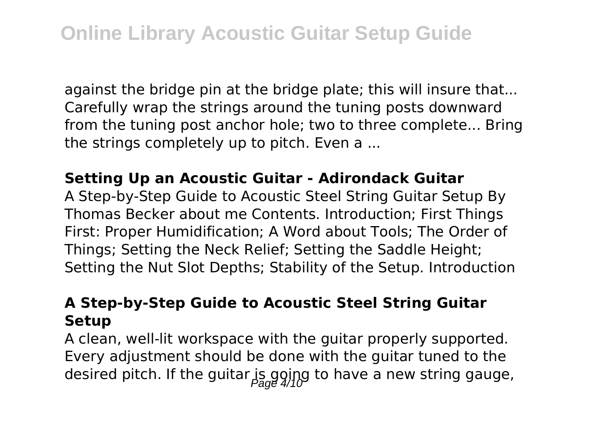against the bridge pin at the bridge plate; this will insure that... Carefully wrap the strings around the tuning posts downward from the tuning post anchor hole; two to three complete... Bring the strings completely up to pitch. Even a ...

#### **Setting Up an Acoustic Guitar - Adirondack Guitar**

A Step-by-Step Guide to Acoustic Steel String Guitar Setup By Thomas Becker about me Contents. Introduction; First Things First: Proper Humidification; A Word about Tools; The Order of Things; Setting the Neck Relief; Setting the Saddle Height; Setting the Nut Slot Depths; Stability of the Setup. Introduction

#### **A Step-by-Step Guide to Acoustic Steel String Guitar Setup**

A clean, well-lit workspace with the guitar properly supported. Every adjustment should be done with the guitar tuned to the desired pitch. If the guitar is going to have a new string gauge,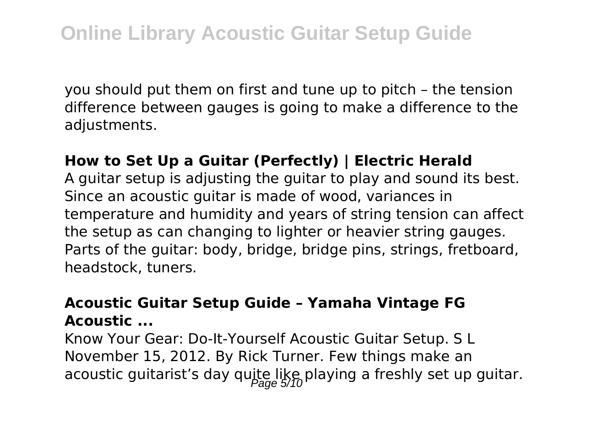you should put them on first and tune up to pitch – the tension difference between gauges is going to make a difference to the adjustments.

#### **How to Set Up a Guitar (Perfectly) | Electric Herald**

A guitar setup is adjusting the guitar to play and sound its best. Since an acoustic guitar is made of wood, variances in temperature and humidity and years of string tension can affect the setup as can changing to lighter or heavier string gauges. Parts of the guitar: body, bridge, bridge pins, strings, fretboard, headstock, tuners.

#### **Acoustic Guitar Setup Guide – Yamaha Vintage FG Acoustic ...**

Know Your Gear: Do-It-Yourself Acoustic Guitar Setup. S L November 15, 2012. By Rick Turner. Few things make an acoustic guitarist's day quite like playing a freshly set up guitar.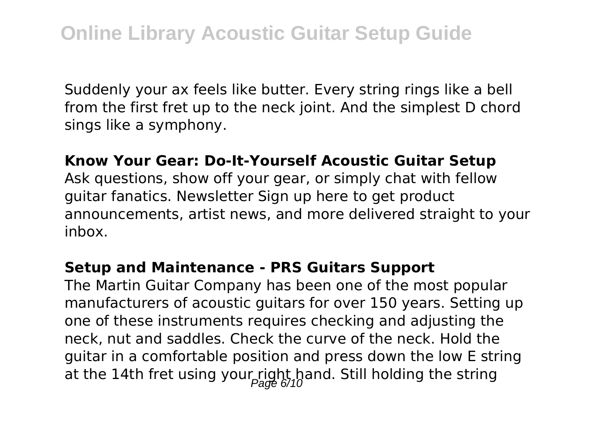Suddenly your ax feels like butter. Every string rings like a bell from the first fret up to the neck joint. And the simplest D chord sings like a symphony.

#### **Know Your Gear: Do-It-Yourself Acoustic Guitar Setup**

Ask questions, show off your gear, or simply chat with fellow guitar fanatics. Newsletter Sign up here to get product announcements, artist news, and more delivered straight to your inbox.

#### **Setup and Maintenance - PRS Guitars Support**

The Martin Guitar Company has been one of the most popular manufacturers of acoustic guitars for over 150 years. Setting up one of these instruments requires checking and adjusting the neck, nut and saddles. Check the curve of the neck. Hold the guitar in a comfortable position and press down the low E string at the 14th fret using your right hand. Still holding the string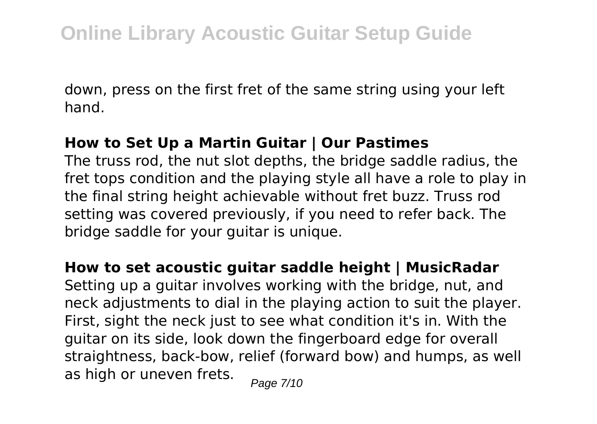down, press on the first fret of the same string using your left hand.

#### **How to Set Up a Martin Guitar | Our Pastimes**

The truss rod, the nut slot depths, the bridge saddle radius, the fret tops condition and the playing style all have a role to play in the final string height achievable without fret buzz. Truss rod setting was covered previously, if you need to refer back. The bridge saddle for your guitar is unique.

#### **How to set acoustic guitar saddle height | MusicRadar**

Setting up a guitar involves working with the bridge, nut, and neck adjustments to dial in the playing action to suit the player. First, sight the neck just to see what condition it's in. With the guitar on its side, look down the fingerboard edge for overall straightness, back-bow, relief (forward bow) and humps, as well as high or uneven frets.  $_{Paae\,7/10}$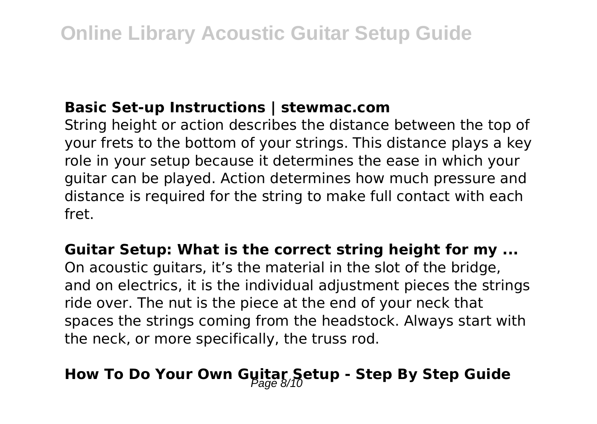#### **Basic Set-up Instructions | stewmac.com**

String height or action describes the distance between the top of your frets to the bottom of your strings. This distance plays a key role in your setup because it determines the ease in which your guitar can be played. Action determines how much pressure and distance is required for the string to make full contact with each fret.

#### **Guitar Setup: What is the correct string height for my ...**

On acoustic guitars, it's the material in the slot of the bridge, and on electrics, it is the individual adjustment pieces the strings ride over. The nut is the piece at the end of your neck that spaces the strings coming from the headstock. Always start with the neck, or more specifically, the truss rod.

## **How To Do Your Own Guitar Setup - Step By Step Guide**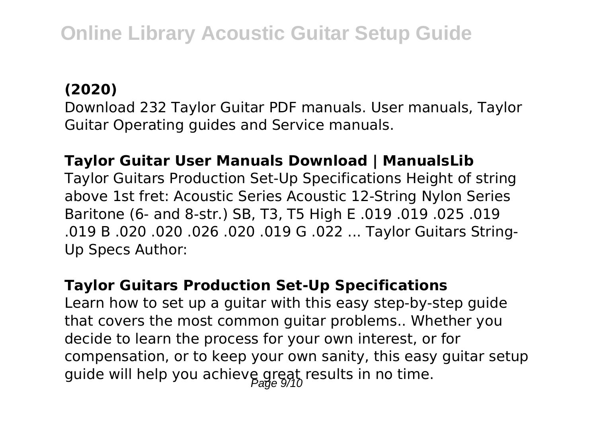### **Online Library Acoustic Guitar Setup Guide**

#### **(2020)**

Download 232 Taylor Guitar PDF manuals. User manuals, Taylor Guitar Operating guides and Service manuals.

#### **Taylor Guitar User Manuals Download | ManualsLib**

Taylor Guitars Production Set-Up Specifications Height of string above 1st fret: Acoustic Series Acoustic 12-String Nylon Series Baritone (6- and 8-str.) SB, T3, T5 High E .019 .019 .025 .019 .019 B .020 .020 .026 .020 .019 G .022 ... Taylor Guitars String-Up Specs Author:

#### **Taylor Guitars Production Set-Up Specifications**

Learn how to set up a guitar with this easy step-by-step guide that covers the most common guitar problems.. Whether you decide to learn the process for your own interest, or for compensation, or to keep your own sanity, this easy guitar setup guide will help you achieve great results in no time.